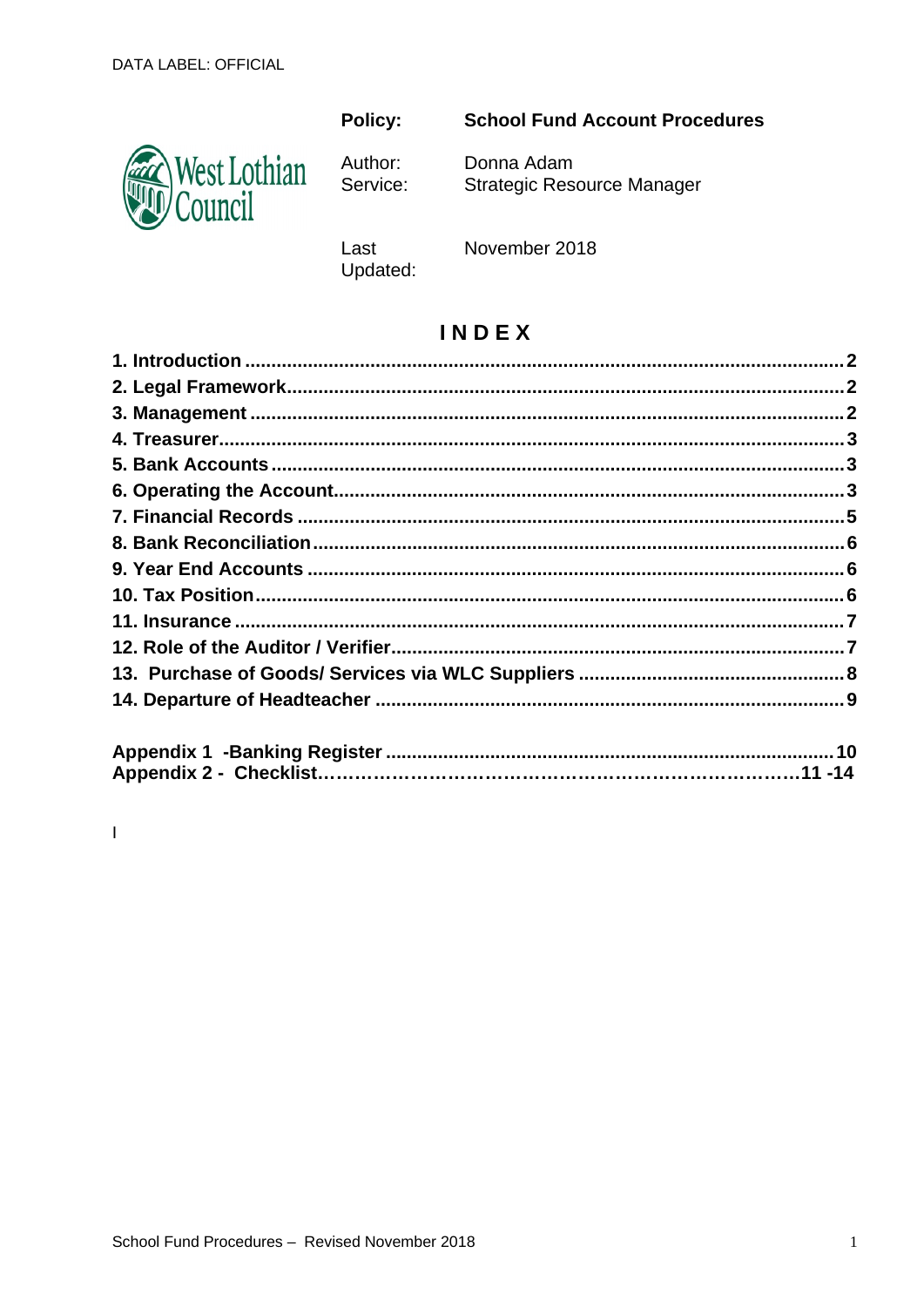### **Policy:**



Author: Service:

## **School Fund Account Procedures**

Donna Adam **Strategic Resource Manager** 

Last Updated: November 2018

## **INDEX**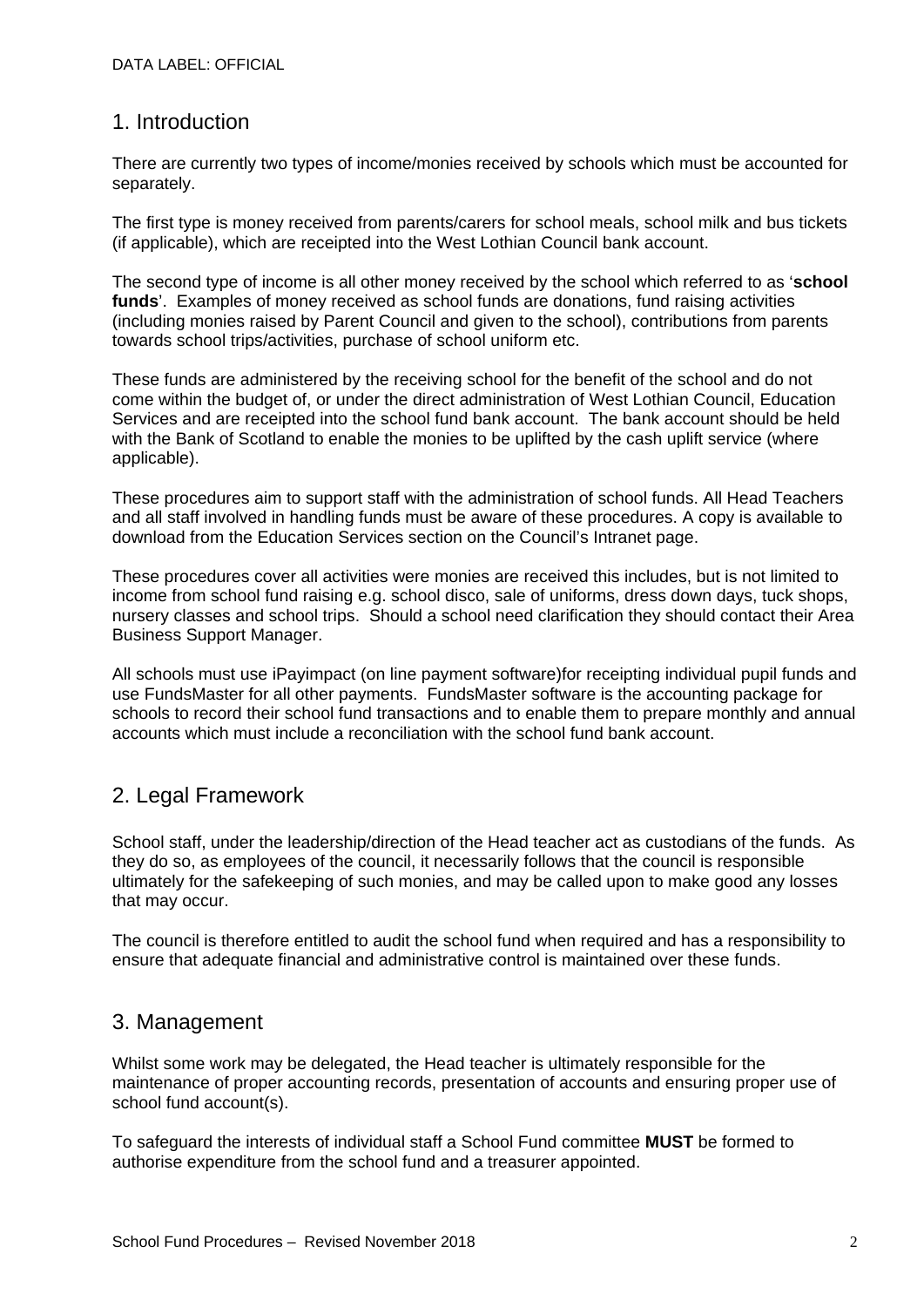### 1. Introduction

There are currently two types of income/monies received by schools which must be accounted for separately.

The first type is money received from parents/carers for school meals, school milk and bus tickets (if applicable), which are receipted into the West Lothian Council bank account.

The second type of income is all other money received by the school which referred to as '**school funds**'. Examples of money received as school funds are donations, fund raising activities (including monies raised by Parent Council and given to the school), contributions from parents towards school trips/activities, purchase of school uniform etc.

These funds are administered by the receiving school for the benefit of the school and do not come within the budget of, or under the direct administration of West Lothian Council, Education Services and are receipted into the school fund bank account. The bank account should be held with the Bank of Scotland to enable the monies to be uplifted by the cash uplift service (where applicable).

These procedures aim to support staff with the administration of school funds. All Head Teachers and all staff involved in handling funds must be aware of these procedures. A copy is available to download from the Education Services section on the Council's Intranet page.

These procedures cover all activities were monies are received this includes, but is not limited to income from school fund raising e.g. school disco, sale of uniforms, dress down days, tuck shops, nursery classes and school trips. Should a school need clarification they should contact their Area Business Support Manager.

All schools must use iPayimpact (on line payment software)for receipting individual pupil funds and use FundsMaster for all other payments. FundsMaster software is the accounting package for schools to record their school fund transactions and to enable them to prepare monthly and annual accounts which must include a reconciliation with the school fund bank account.

## 2. Legal Framework

School staff, under the leadership/direction of the Head teacher act as custodians of the funds. As they do so, as employees of the council, it necessarily follows that the council is responsible ultimately for the safekeeping of such monies, and may be called upon to make good any losses that may occur.

The council is therefore entitled to audit the school fund when required and has a responsibility to ensure that adequate financial and administrative control is maintained over these funds.

### 3. Management

Whilst some work may be delegated, the Head teacher is ultimately responsible for the maintenance of proper accounting records, presentation of accounts and ensuring proper use of school fund account(s).

To safeguard the interests of individual staff a School Fund committee **MUST** be formed to authorise expenditure from the school fund and a treasurer appointed.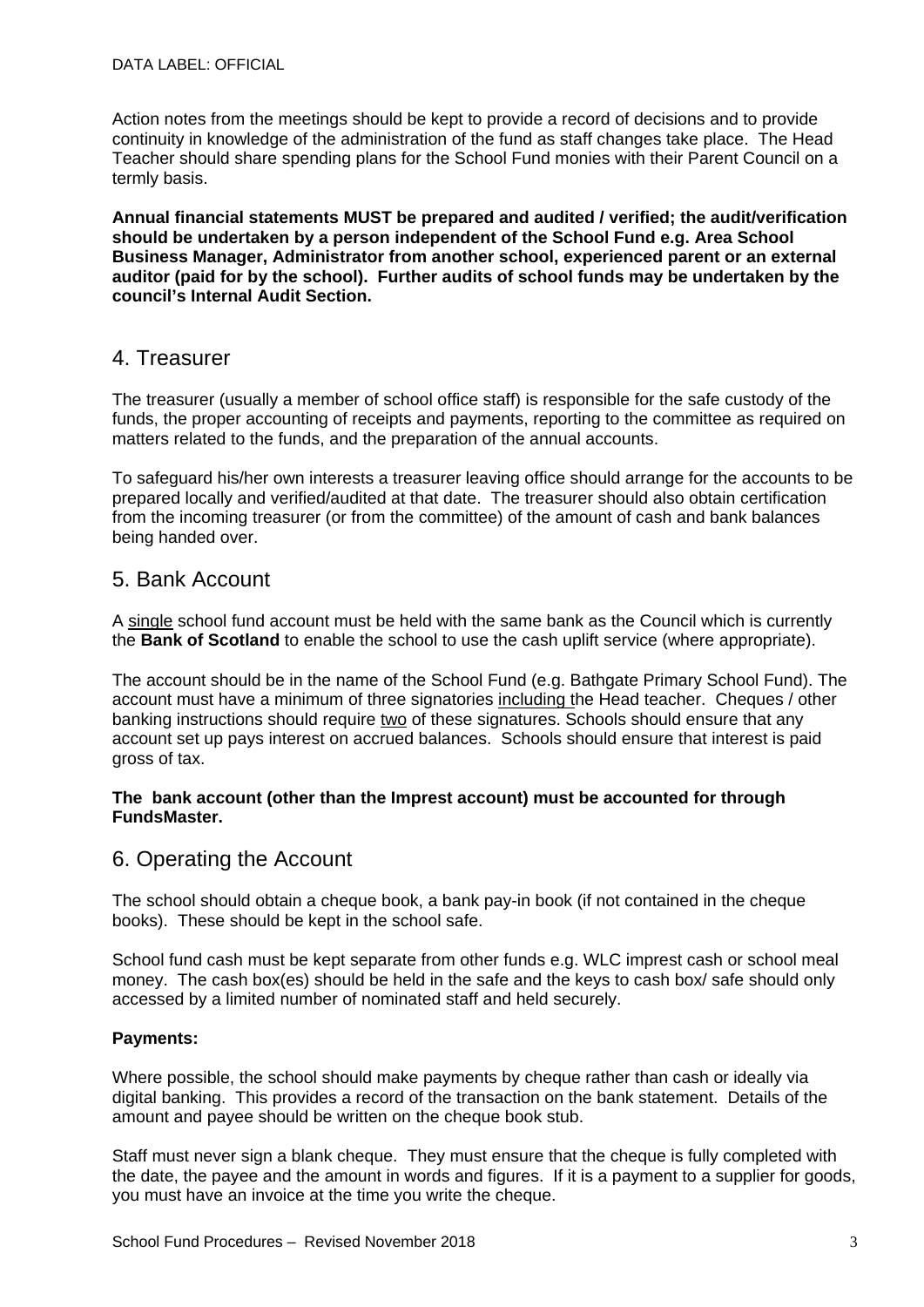Action notes from the meetings should be kept to provide a record of decisions and to provide continuity in knowledge of the administration of the fund as staff changes take place. The Head Teacher should share spending plans for the School Fund monies with their Parent Council on a termly basis.

**Annual financial statements MUST be prepared and audited / verified; the audit/verification should be undertaken by a person independent of the School Fund e.g. Area School Business Manager, Administrator from another school, experienced parent or an external auditor (paid for by the school). Further audits of school funds may be undertaken by the council's Internal Audit Section.** 

### 4. Treasurer

The treasurer (usually a member of school office staff) is responsible for the safe custody of the funds, the proper accounting of receipts and payments, reporting to the committee as required on matters related to the funds, and the preparation of the annual accounts.

To safeguard his/her own interests a treasurer leaving office should arrange for the accounts to be prepared locally and verified/audited at that date. The treasurer should also obtain certification from the incoming treasurer (or from the committee) of the amount of cash and bank balances being handed over.

### 5. Bank Account

A single school fund account must be held with the same bank as the Council which is currently the **Bank of Scotland** to enable the school to use the cash uplift service (where appropriate).

The account should be in the name of the School Fund (e.g. Bathgate Primary School Fund). The account must have a minimum of three signatories including the Head teacher. Cheques / other banking instructions should require two of these signatures. Schools should ensure that any account set up pays interest on accrued balances. Schools should ensure that interest is paid gross of tax.

#### **The bank account (other than the Imprest account) must be accounted for through FundsMaster.**

### 6. Operating the Account

The school should obtain a cheque book, a bank pay-in book (if not contained in the cheque books). These should be kept in the school safe.

School fund cash must be kept separate from other funds e.g. WLC imprest cash or school meal money. The cash box(es) should be held in the safe and the keys to cash box/ safe should only accessed by a limited number of nominated staff and held securely.

#### **Payments:**

Where possible, the school should make payments by cheque rather than cash or ideally via digital banking. This provides a record of the transaction on the bank statement. Details of the amount and payee should be written on the cheque book stub.

Staff must never sign a blank cheque. They must ensure that the cheque is fully completed with the date, the payee and the amount in words and figures. If it is a payment to a supplier for goods, you must have an invoice at the time you write the cheque.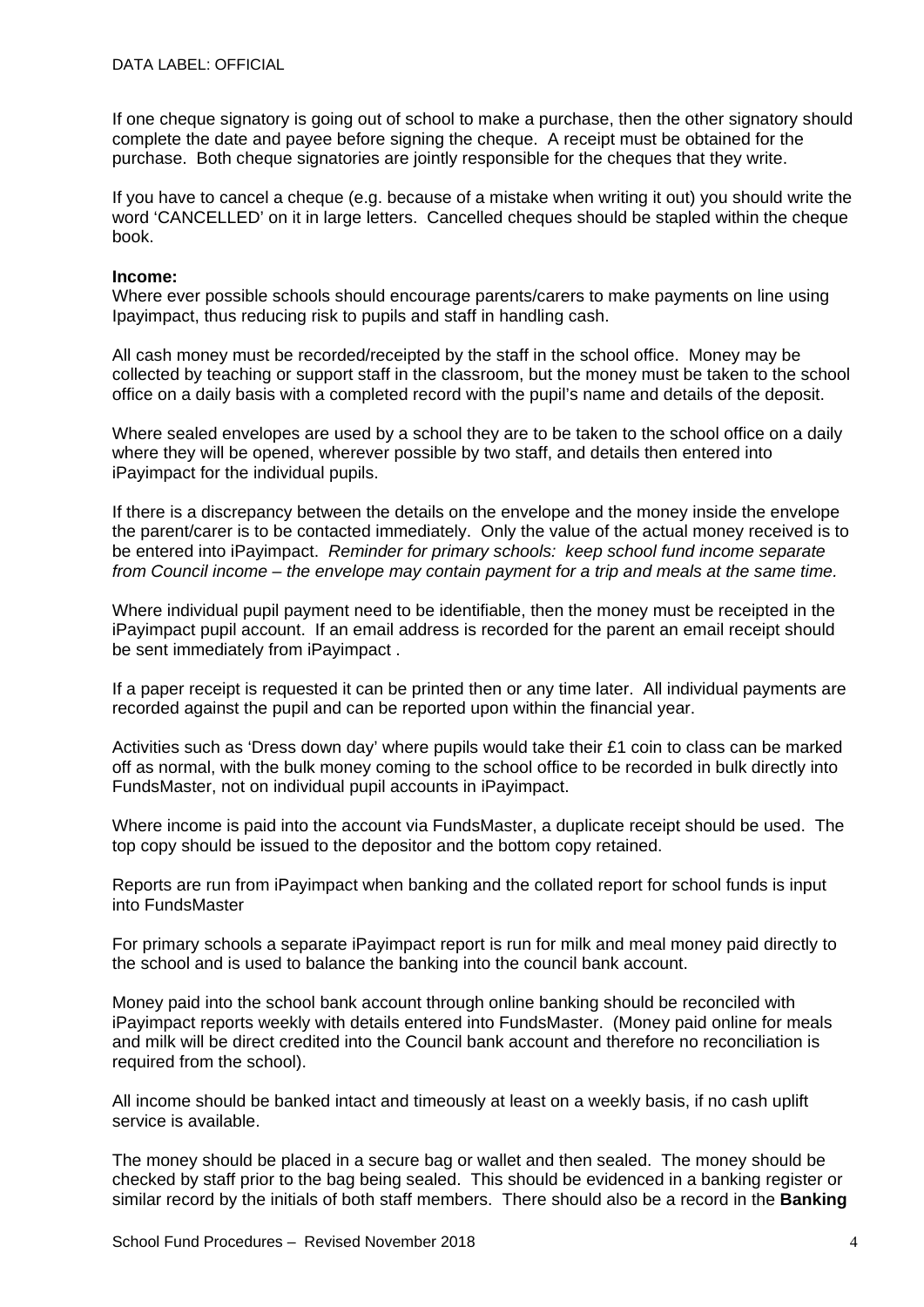If one cheque signatory is going out of school to make a purchase, then the other signatory should complete the date and payee before signing the cheque. A receipt must be obtained for the purchase. Both cheque signatories are jointly responsible for the cheques that they write.

If you have to cancel a cheque (e.g. because of a mistake when writing it out) you should write the word 'CANCELLED' on it in large letters. Cancelled cheques should be stapled within the cheque book.

#### **Income:**

Where ever possible schools should encourage parents/carers to make payments on line using Ipayimpact, thus reducing risk to pupils and staff in handling cash.

All cash money must be recorded/receipted by the staff in the school office. Money may be collected by teaching or support staff in the classroom, but the money must be taken to the school office on a daily basis with a completed record with the pupil's name and details of the deposit.

Where sealed envelopes are used by a school they are to be taken to the school office on a daily where they will be opened, wherever possible by two staff, and details then entered into iPayimpact for the individual pupils.

If there is a discrepancy between the details on the envelope and the money inside the envelope the parent/carer is to be contacted immediately. Only the value of the actual money received is to be entered into iPayimpact. *Reminder for primary schools: keep school fund income separate from Council income – the envelope may contain payment for a trip and meals at the same time.* 

Where individual pupil payment need to be identifiable, then the money must be receipted in the iPayimpact pupil account. If an email address is recorded for the parent an email receipt should be sent immediately from iPayimpact .

If a paper receipt is requested it can be printed then or any time later. All individual payments are recorded against the pupil and can be reported upon within the financial year.

Activities such as 'Dress down day' where pupils would take their £1 coin to class can be marked off as normal, with the bulk money coming to the school office to be recorded in bulk directly into FundsMaster, not on individual pupil accounts in iPayimpact.

Where income is paid into the account via FundsMaster, a duplicate receipt should be used. The top copy should be issued to the depositor and the bottom copy retained.

Reports are run from iPayimpact when banking and the collated report for school funds is input into FundsMaster

For primary schools a separate iPayimpact report is run for milk and meal money paid directly to the school and is used to balance the banking into the council bank account.

Money paid into the school bank account through online banking should be reconciled with iPayimpact reports weekly with details entered into FundsMaster. (Money paid online for meals and milk will be direct credited into the Council bank account and therefore no reconciliation is required from the school).

All income should be banked intact and timeously at least on a weekly basis, if no cash uplift service is available.

The money should be placed in a secure bag or wallet and then sealed. The money should be checked by staff prior to the bag being sealed. This should be evidenced in a banking register or similar record by the initials of both staff members. There should also be a record in the **Banking**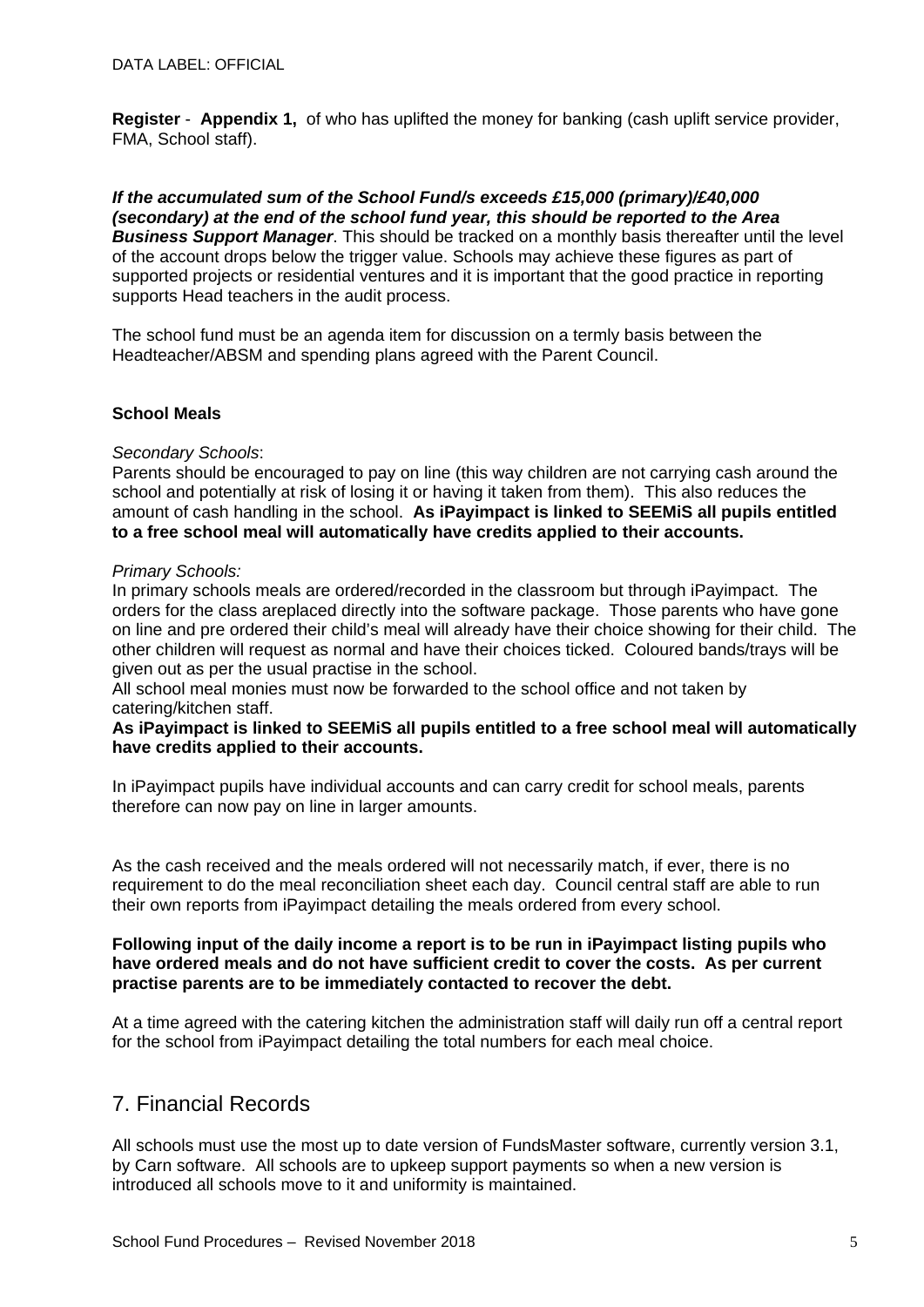**Register** - **Appendix 1,** of who has uplifted the money for banking (cash uplift service provider, FMA, School staff).

*If the accumulated sum of the School Fund/s exceeds £15,000 (primary)/£40,000 (secondary) at the end of the school fund year, this should be reported to the Area Business Support Manager*. This should be tracked on a monthly basis thereafter until the level of the account drops below the trigger value. Schools may achieve these figures as part of supported projects or residential ventures and it is important that the good practice in reporting supports Head teachers in the audit process.

The school fund must be an agenda item for discussion on a termly basis between the Headteacher/ABSM and spending plans agreed with the Parent Council.

#### **School Meals**

#### *Secondary Schools*:

Parents should be encouraged to pay on line (this way children are not carrying cash around the school and potentially at risk of losing it or having it taken from them). This also reduces the amount of cash handling in the school. **As iPayimpact is linked to SEEMiS all pupils entitled to a free school meal will automatically have credits applied to their accounts.**

#### *Primary Schools:*

In primary schools meals are ordered/recorded in the classroom but through iPayimpact. The orders for the class areplaced directly into the software package. Those parents who have gone on line and pre ordered their child's meal will already have their choice showing for their child. The other children will request as normal and have their choices ticked. Coloured bands/trays will be given out as per the usual practise in the school.

All school meal monies must now be forwarded to the school office and not taken by catering/kitchen staff.

#### **As iPayimpact is linked to SEEMiS all pupils entitled to a free school meal will automatically have credits applied to their accounts.**

In iPayimpact pupils have individual accounts and can carry credit for school meals, parents therefore can now pay on line in larger amounts.

As the cash received and the meals ordered will not necessarily match, if ever, there is no requirement to do the meal reconciliation sheet each day. Council central staff are able to run their own reports from iPayimpact detailing the meals ordered from every school.

#### **Following input of the daily income a report is to be run in iPayimpact listing pupils who have ordered meals and do not have sufficient credit to cover the costs. As per current practise parents are to be immediately contacted to recover the debt.**

At a time agreed with the catering kitchen the administration staff will daily run off a central report for the school from iPayimpact detailing the total numbers for each meal choice.

### 7. Financial Records

All schools must use the most up to date version of FundsMaster software, currently version 3.1, by Carn software. All schools are to upkeep support payments so when a new version is introduced all schools move to it and uniformity is maintained.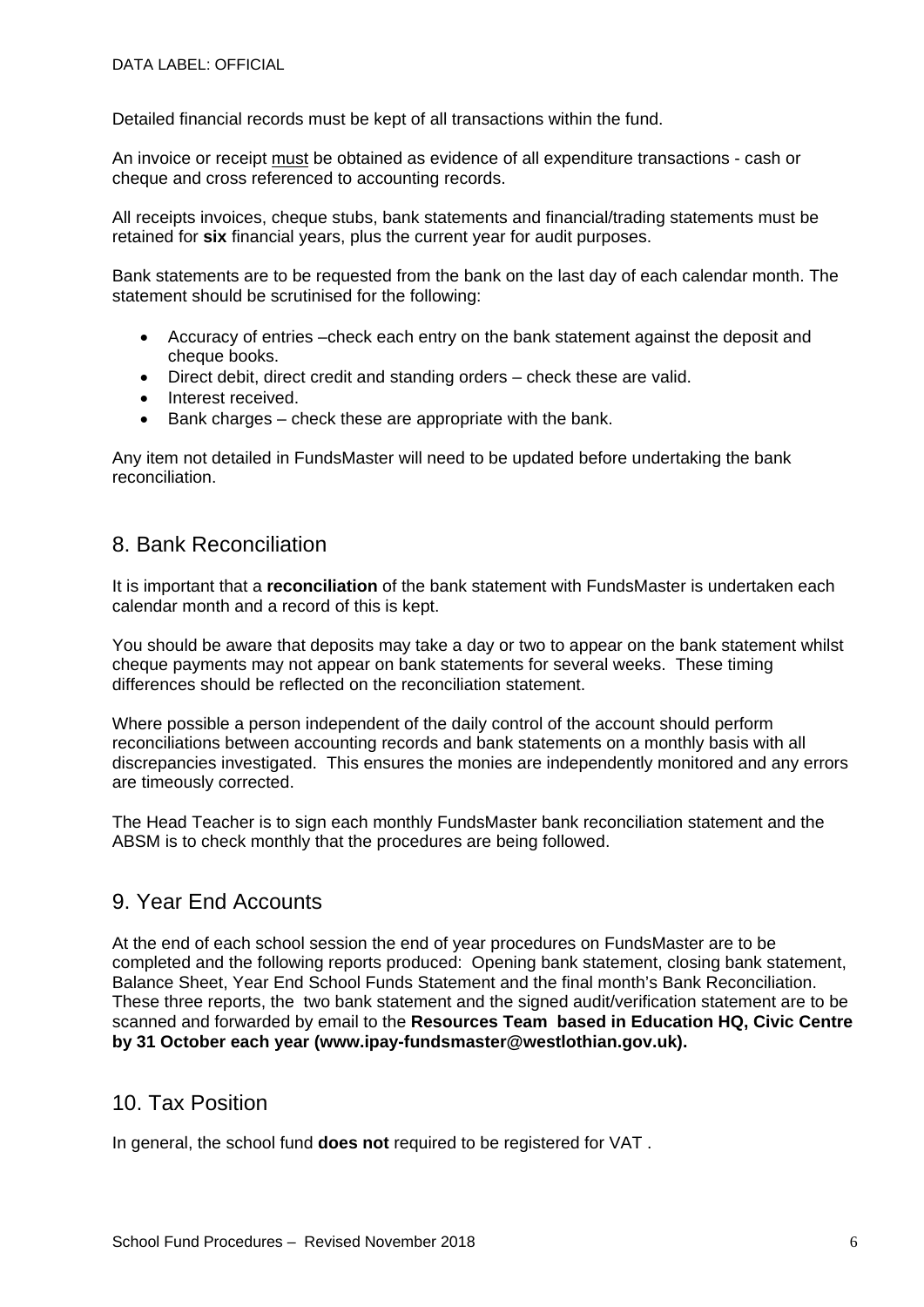Detailed financial records must be kept of all transactions within the fund.

An invoice or receipt must be obtained as evidence of all expenditure transactions - cash or cheque and cross referenced to accounting records.

All receipts invoices, cheque stubs, bank statements and financial/trading statements must be retained for **six** financial years, plus the current year for audit purposes.

Bank statements are to be requested from the bank on the last day of each calendar month. The statement should be scrutinised for the following:

- Accuracy of entries –check each entry on the bank statement against the deposit and cheque books.
- Direct debit, direct credit and standing orders check these are valid.
- Interest received.
- Bank charges check these are appropriate with the bank.

Any item not detailed in FundsMaster will need to be updated before undertaking the bank reconciliation.

### 8. Bank Reconciliation

It is important that a **reconciliation** of the bank statement with FundsMaster is undertaken each calendar month and a record of this is kept.

You should be aware that deposits may take a day or two to appear on the bank statement whilst cheque payments may not appear on bank statements for several weeks. These timing differences should be reflected on the reconciliation statement.

Where possible a person independent of the daily control of the account should perform reconciliations between accounting records and bank statements on a monthly basis with all discrepancies investigated. This ensures the monies are independently monitored and any errors are timeously corrected.

The Head Teacher is to sign each monthly FundsMaster bank reconciliation statement and the ABSM is to check monthly that the procedures are being followed.

### 9. Year End Accounts

At the end of each school session the end of year procedures on FundsMaster are to be completed and the following reports produced: Opening bank statement, closing bank statement, Balance Sheet, Year End School Funds Statement and the final month's Bank Reconciliation. These three reports, the two bank statement and the signed audit/verification statement are to be scanned and forwarded by email to the **Resources Team based in Education HQ, Civic Centre by 31 October each year (www.ipay-fundsmaster@westlothian.gov.uk).** 

### 10. Tax Position

In general, the school fund **does not** required to be registered for VAT .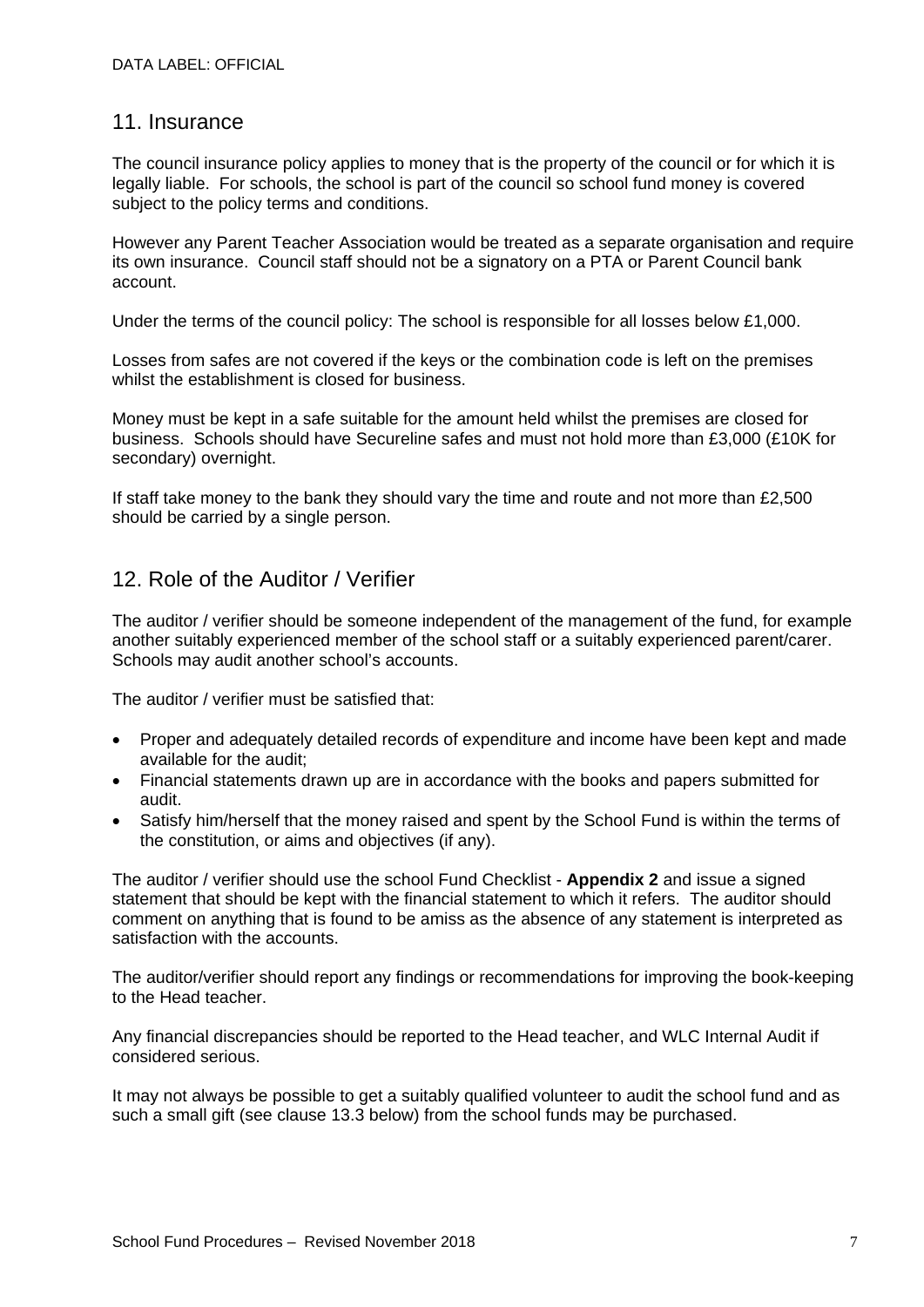### 11. Insurance

The council insurance policy applies to money that is the property of the council or for which it is legally liable. For schools, the school is part of the council so school fund money is covered subject to the policy terms and conditions.

However any Parent Teacher Association would be treated as a separate organisation and require its own insurance. Council staff should not be a signatory on a PTA or Parent Council bank account.

Under the terms of the council policy: The school is responsible for all losses below £1,000.

Losses from safes are not covered if the keys or the combination code is left on the premises whilst the establishment is closed for business.

Money must be kept in a safe suitable for the amount held whilst the premises are closed for business. Schools should have Secureline safes and must not hold more than £3,000 (£10K for secondary) overnight.

If staff take money to the bank they should vary the time and route and not more than £2,500 should be carried by a single person.

### 12. Role of the Auditor / Verifier

The auditor / verifier should be someone independent of the management of the fund, for example another suitably experienced member of the school staff or a suitably experienced parent/carer. Schools may audit another school's accounts.

The auditor / verifier must be satisfied that:

- Proper and adequately detailed records of expenditure and income have been kept and made available for the audit;
- Financial statements drawn up are in accordance with the books and papers submitted for audit.
- Satisfy him/herself that the money raised and spent by the School Fund is within the terms of the constitution, or aims and objectives (if any).

The auditor / verifier should use the school Fund Checklist - **Appendix 2** and issue a signed statement that should be kept with the financial statement to which it refers. The auditor should comment on anything that is found to be amiss as the absence of any statement is interpreted as satisfaction with the accounts.

The auditor/verifier should report any findings or recommendations for improving the book-keeping to the Head teacher.

Any financial discrepancies should be reported to the Head teacher, and WLC Internal Audit if considered serious.

It may not always be possible to get a suitably qualified volunteer to audit the school fund and as such a small gift (see clause 13.3 below) from the school funds may be purchased.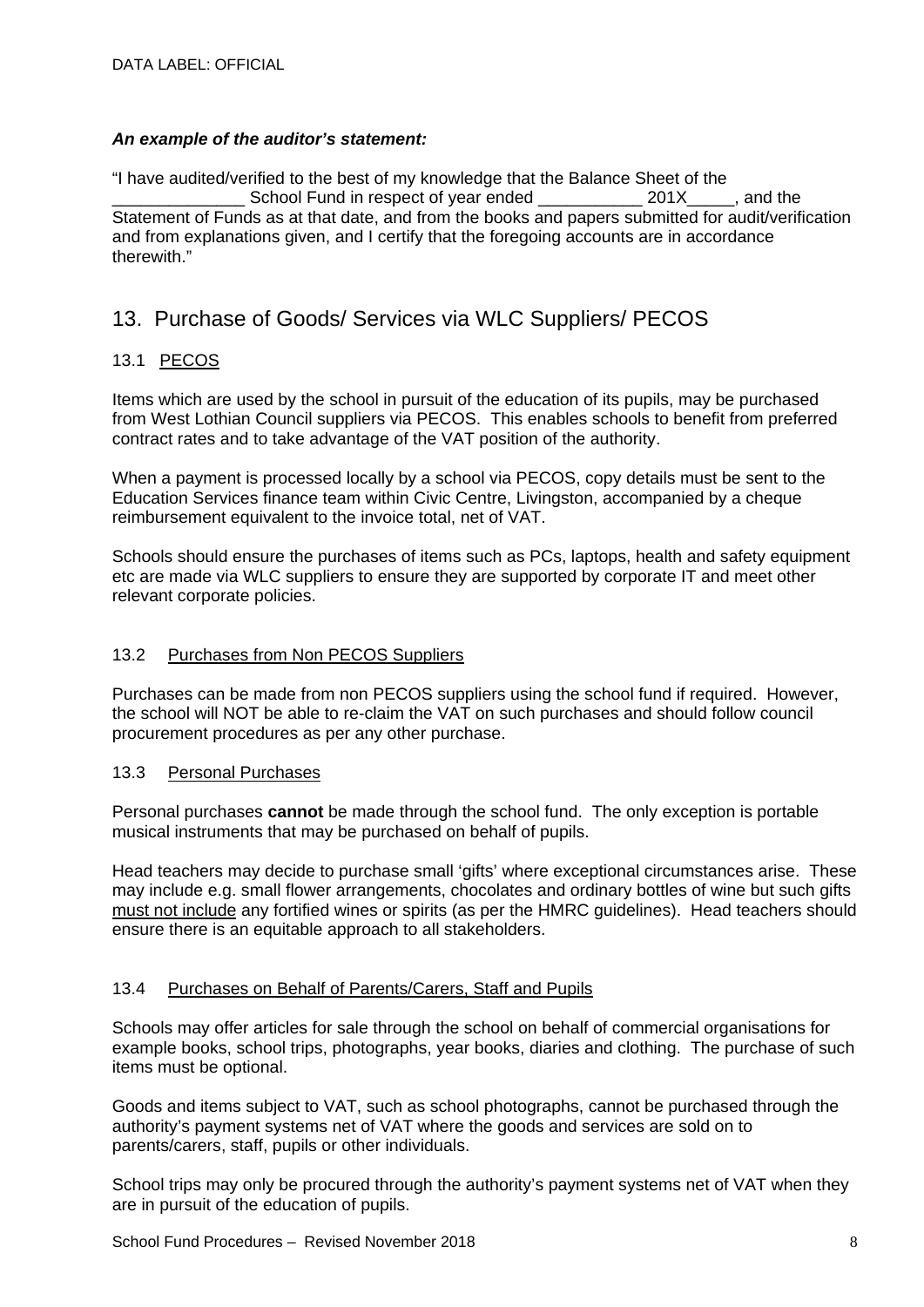#### *An example of the auditor's statement:*

"I have audited/verified to the best of my knowledge that the Balance Sheet of the School Fund in respect of year ended 201X and the Statement of Funds as at that date, and from the books and papers submitted for audit/verification and from explanations given, and I certify that the foregoing accounts are in accordance therewith."

### 13. Purchase of Goods/ Services via WLC Suppliers/ PECOS

#### 13.1 PECOS

Items which are used by the school in pursuit of the education of its pupils, may be purchased from West Lothian Council suppliers via PECOS. This enables schools to benefit from preferred contract rates and to take advantage of the VAT position of the authority.

When a payment is processed locally by a school via PECOS, copy details must be sent to the Education Services finance team within Civic Centre, Livingston, accompanied by a cheque reimbursement equivalent to the invoice total, net of VAT.

Schools should ensure the purchases of items such as PCs, laptops, health and safety equipment etc are made via WLC suppliers to ensure they are supported by corporate IT and meet other relevant corporate policies.

#### 13.2 Purchases from Non PECOS Suppliers

Purchases can be made from non PECOS suppliers using the school fund if required. However, the school will NOT be able to re-claim the VAT on such purchases and should follow council procurement procedures as per any other purchase.

#### 13.3 Personal Purchases

Personal purchases **cannot** be made through the school fund. The only exception is portable musical instruments that may be purchased on behalf of pupils.

Head teachers may decide to purchase small 'gifts' where exceptional circumstances arise. These may include e.g. small flower arrangements, chocolates and ordinary bottles of wine but such gifts must not include any fortified wines or spirits (as per the HMRC guidelines). Head teachers should ensure there is an equitable approach to all stakeholders.

#### 13.4 Purchases on Behalf of Parents/Carers, Staff and Pupils

Schools may offer articles for sale through the school on behalf of commercial organisations for example books, school trips, photographs, year books, diaries and clothing. The purchase of such items must be optional.

Goods and items subject to VAT, such as school photographs, cannot be purchased through the authority's payment systems net of VAT where the goods and services are sold on to parents/carers, staff, pupils or other individuals.

School trips may only be procured through the authority's payment systems net of VAT when they are in pursuit of the education of pupils.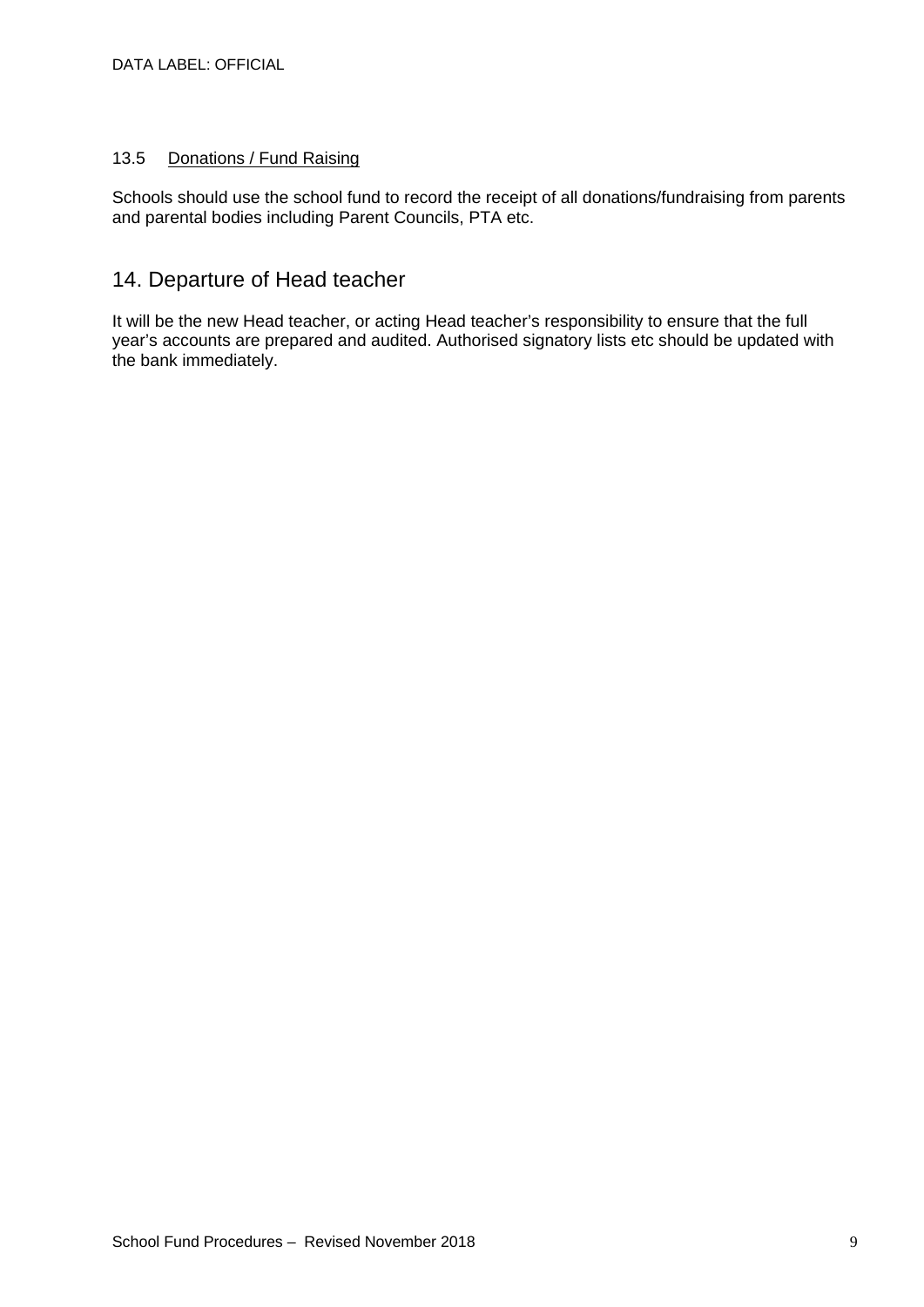#### 13.5 Donations / Fund Raising

Schools should use the school fund to record the receipt of all donations/fundraising from parents and parental bodies including Parent Councils, PTA etc.

### 14. Departure of Head teacher

It will be the new Head teacher, or acting Head teacher's responsibility to ensure that the full year's accounts are prepared and audited. Authorised signatory lists etc should be updated with the bank immediately.